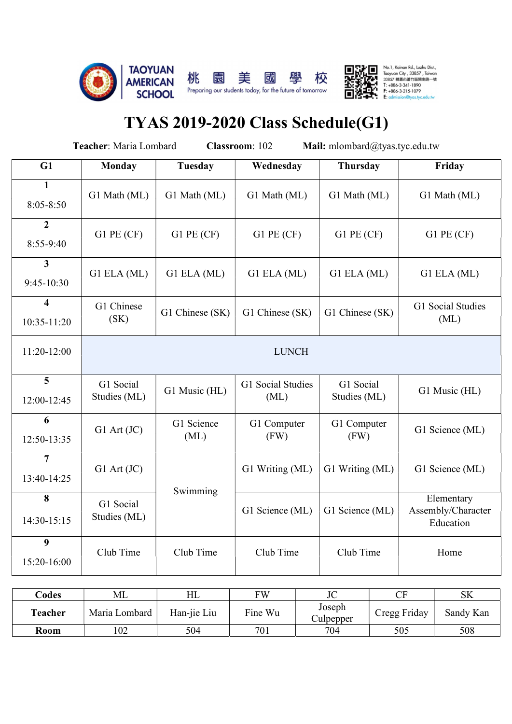

 $\begin{tabular}{|c|c|} \hline \rule{0pt}{2.5ex} \rule{0pt}{2.5ex} \rule{0pt}{2.5ex} \rule{0pt}{2.5ex} \rule{0pt}{2.5ex} \rule{0pt}{2.5ex} \rule{0pt}{2.5ex} \rule{0pt}{2.5ex} \rule{0pt}{2.5ex} \rule{0pt}{2.5ex} \rule{0pt}{2.5ex} \rule{0pt}{2.5ex} \rule{0pt}{2.5ex} \rule{0pt}{2.5ex} \rule{0pt}{2.5ex} \rule{0pt}{2.5ex} \rule{0pt}{2.5ex} \rule{0pt}{2.5ex} \rule{0pt}{2$ 

# TYAS 2019-2020 Class Schedule(G1)

|                                        | Teacher: Maria Lombard    |                    | Classroom: 102            | Mail: mlombard@tyas.tyc.edu.tw |                                               |
|----------------------------------------|---------------------------|--------------------|---------------------------|--------------------------------|-----------------------------------------------|
| G1                                     | <b>Monday</b>             | <b>Tuesday</b>     | Wednesday                 | Thursday                       | Friday                                        |
| $\mathbf{1}$<br>$8:05 - 8:50$          | G1 Math (ML)              | G1 Math (ML)       | G1 Math (ML)              | G1 Math (ML)                   | G1 Math (ML)                                  |
| $\overline{2}$<br>8:55-9:40            | $G1$ PE $(CF)$            | $G1$ PE $(CF)$     | $G1$ PE $(CF)$            | $G1$ PE $(CF)$                 | $G1$ PE $(CF)$                                |
| $\mathbf{3}$<br>9:45-10:30             | G1 ELA (ML)               | G1 ELA (ML)        | G1 ELA (ML)               | G1 ELA (ML)                    | G1 ELA (ML)                                   |
| $\overline{\mathbf{4}}$<br>10:35-11:20 | G1 Chinese<br>(SK)        | G1 Chinese (SK)    | G1 Chinese (SK)           | G1 Chinese (SK)                | G1 Social Studies<br>(ML)                     |
| 11:20-12:00                            |                           |                    | <b>LUNCH</b>              |                                |                                               |
| 5<br>12:00-12:45                       | G1 Social<br>Studies (ML) | G1 Music (HL)      | G1 Social Studies<br>(ML) | G1 Social<br>Studies (ML)      | G1 Music (HL)                                 |
| 6<br>12:50-13:35                       | $G1$ Art $(JC)$           | G1 Science<br>(ML) | G1 Computer<br>(FW)       | G1 Computer<br>(FW)            | G1 Science (ML)                               |
| $\overline{7}$<br>13:40-14:25          | $G1$ Art $(JC)$           |                    | G1 Writing (ML)           | G1 Writing (ML)                | G1 Science (ML)                               |
| 8<br>14:30-15:15                       | G1 Social<br>Studies (ML) | Swimming           | G1 Science (ML)           | G1 Science (ML)                | Elementary<br>Assembly/Character<br>Education |
| 9<br>15:20-16:00                       | Club Time                 | Club Time          | Club Time                 | Club Time                      | Home                                          |

| $\text{Codes}$ | МL                 | HL          | <b>FW</b> | $T\cap$<br>JU                                | $\sim$ $\blacksquare$<br>ັ      | C1Z<br>$\mathbf{v}$ |
|----------------|--------------------|-------------|-----------|----------------------------------------------|---------------------------------|---------------------|
| m.<br>l'eacher | Maria<br>ı Lombard | Han-jie Liu | Fine Wu   | Joseph<br>$\tilde{\phantom{a}}$<br>Julpepper | $\mathbf{r}$<br>Friday<br>Cregg | Sandy Kan           |
| <b>Room</b>    | 102                | 504         | 701       | 704                                          | 505                             | 508                 |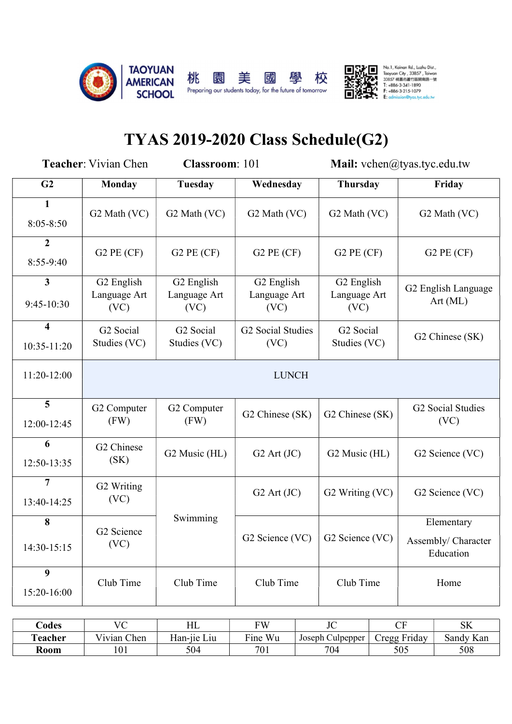

# TYAS 2019-2020 Class Schedule(G2)

|                                        | <b>Teacher:</b> Vivian Chen        | <b>Classroom: 101</b>                 |                                    | Mail: vchen@tyas.tyc.edu.tw        |                                                |  |  |
|----------------------------------------|------------------------------------|---------------------------------------|------------------------------------|------------------------------------|------------------------------------------------|--|--|
| G <sub>2</sub>                         | <b>Monday</b>                      | <b>Tuesday</b>                        | Wednesday                          | Thursday                           | Friday                                         |  |  |
| 1<br>$8:05 - 8:50$                     | G2 Math (VC)                       | G <sub>2</sub> Math (VC)              | G <sub>2</sub> Math (VC)           | G <sub>2</sub> Math (VC)           | G <sub>2</sub> Math (VC)                       |  |  |
| $\overline{2}$<br>$8:55-9:40$          | $G2$ PE $(CF)$                     | $G2$ PE $(CF)$                        | $G2$ PE $(CF)$                     | $G2$ PE $(CF)$                     | $G2$ PE $(CF)$                                 |  |  |
| $\mathbf{3}$<br>9:45-10:30             | G2 English<br>Language Art<br>(VC) | G2 English<br>Language Art<br>(VC)    | G2 English<br>Language Art<br>(VC) | G2 English<br>Language Art<br>(VC) | G2 English Language<br>Art(ML)                 |  |  |
| $\overline{\mathbf{4}}$<br>10:35-11:20 | G2 Social<br>Studies (VC)          | G <sub>2</sub> Social<br>Studies (VC) | G2 Social Studies<br>(VC)          | G2 Social<br>Studies (VC)          | G2 Chinese (SK)                                |  |  |
| 11:20-12:00                            |                                    |                                       | <b>LUNCH</b>                       |                                    |                                                |  |  |
| $5\phantom{.0}$<br>12:00-12:45         | G2 Computer<br>(FW)                | G2 Computer<br>(FW)                   | G2 Chinese (SK)                    | G2 Chinese (SK)                    | G2 Social Studies<br>(VC)                      |  |  |
| 6<br>12:50-13:35                       | G2 Chinese<br>(SK)                 | G2 Music (HL)                         | $G2$ Art $(JC)$                    | G2 Music (HL)                      | G2 Science (VC)                                |  |  |
| $\overline{7}$<br>13:40-14:25          | G2 Writing<br>(VC)                 |                                       | $G2$ Art $JC)$                     | G2 Writing (VC)                    | G2 Science (VC)                                |  |  |
| 8<br>14:30-15:15                       | G2 Science<br>(VC)                 | Swimming                              | G2 Science (VC)                    | G2 Science (VC)                    | Elementary<br>Assembly/ Character<br>Education |  |  |
| 9<br>15:20-16:00                       | Club Time                          | Club Time                             | Club Time                          | Club Time                          | Home                                           |  |  |

| Codes                 | $V\cap$<br>╰                           | HL                                            | <b>FW</b>     | $\mathbf{I} \cap$<br>JU | $\sim$ $\sim$<br>◡              | <b>SK</b>    |
|-----------------------|----------------------------------------|-----------------------------------------------|---------------|-------------------------|---------------------------------|--------------|
| <b>CONT</b><br>eacher | $- - -$<br>Chen<br>$\sqrt{1}$ 1 v 1 ap | $ \cdot$<br>$\cdot$ .<br>$- -$<br>Han-11e Liu | $Fin$ e<br>Wu | Joseph<br>. Culpepper   | $\mathbf{r}$<br>Cregg<br>Friday | Kan<br>Sandy |
| Room                  | 101                                    | 504                                           | 701           | 704                     | 505                             | 508          |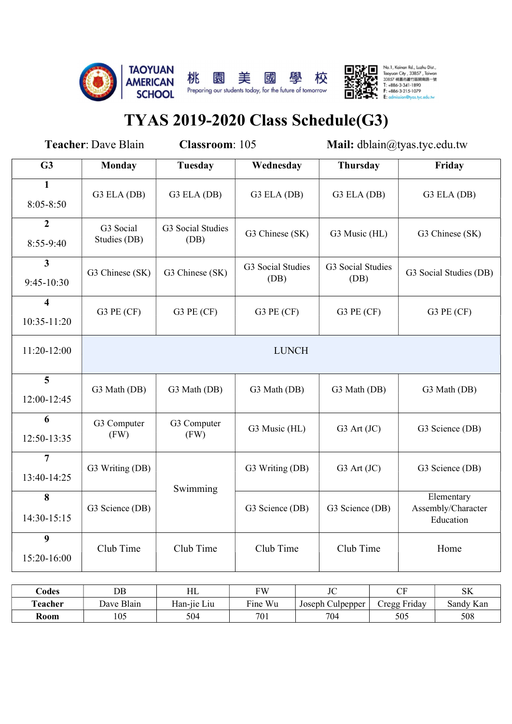



# TYAS 2019-2020 Class Schedule(G3)

|                                        | <b>Teacher: Dave Blain</b> | Classroom: 105            |                           | Mail: dblain@tyas.tyc.edu.tw |                                               |
|----------------------------------------|----------------------------|---------------------------|---------------------------|------------------------------|-----------------------------------------------|
| G3                                     | <b>Monday</b>              | <b>Tuesday</b>            | Wednesday                 | Thursday                     | Friday                                        |
| $\mathbf{1}$<br>$8:05 - 8:50$          | G3 ELA (DB)                | G3 ELA (DB)               | G3 ELA (DB)               | G3 ELA (DB)                  | G3 ELA (DB)                                   |
| $\overline{2}$<br>8:55-9:40            | G3 Social<br>Studies (DB)  | G3 Social Studies<br>(DB) | G3 Chinese (SK)           | G3 Music (HL)                | G3 Chinese (SK)                               |
| $\mathbf{3}$<br>$9:45-10:30$           | G3 Chinese (SK)            | G3 Chinese (SK)           | G3 Social Studies<br>(DB) | G3 Social Studies<br>(DB)    | G3 Social Studies (DB)                        |
| $\overline{\mathbf{4}}$<br>10:35-11:20 | G3 PE $(CF)$               | G3 PE $(CF)$              | $G3$ PE $(CF)$            | $G3$ PE $(CF)$               | $G3$ PE $(CF)$                                |
| 11:20-12:00                            |                            |                           | <b>LUNCH</b>              |                              |                                               |
| $\overline{\mathbf{5}}$<br>12:00-12:45 | G3 Math (DB)               | G3 Math (DB)              | G3 Math (DB)              | G3 Math (DB)                 | G3 Math (DB)                                  |
| 6<br>12:50-13:35                       | G3 Computer<br>(FW)        | G3 Computer<br>(FW)       | G3 Music (HL)             | G3 Art (JC)                  | G3 Science (DB)                               |
| $\overline{7}$<br>13:40-14:25          | G3 Writing (DB)            | Swimming                  | G3 Writing (DB)           | G3 Art (JC)                  | G3 Science (DB)                               |
| 8<br>14:30-15:15                       | G3 Science (DB)            |                           | G3 Science (DB)           | G3 Science (DB)              | Elementary<br>Assembly/Character<br>Education |
| $\boldsymbol{9}$<br>15:20-16:00        | Club Time                  | Club Time                 | Club Time                 | Club Time                    | Home                                          |
|                                        |                            |                           |                           |                              |                                               |

| Codes                  | <b>DB</b>                                    | T TT<br>ПL                                | <b>FW</b>        | $\mathbf{I}$<br>JU              | $\sim$ T<br>ັ                                               | $\mathbb{C}V$<br>ОN          |
|------------------------|----------------------------------------------|-------------------------------------------|------------------|---------------------------------|-------------------------------------------------------------|------------------------------|
| <b>CENT</b><br>leacher | $\mathbf{L}$<br>r.<br>Blain<br>$\Delta$ Dave | $\cdot$ .<br>--<br>$-$<br>Liu<br>-dan-11e | ┳.<br>Wu<br>Fine | $\sim$<br>Joseph C<br>Julpepper | $\mathbf{r}$<br>Fridav<br>Cregg<br>$\overline{\phantom{a}}$ | $\mathbf{r}$<br>Sandy<br>Kan |
| Room                   | 105                                          | 504                                       | 70 <sub>i</sub>  | 704                             | 505                                                         | 508                          |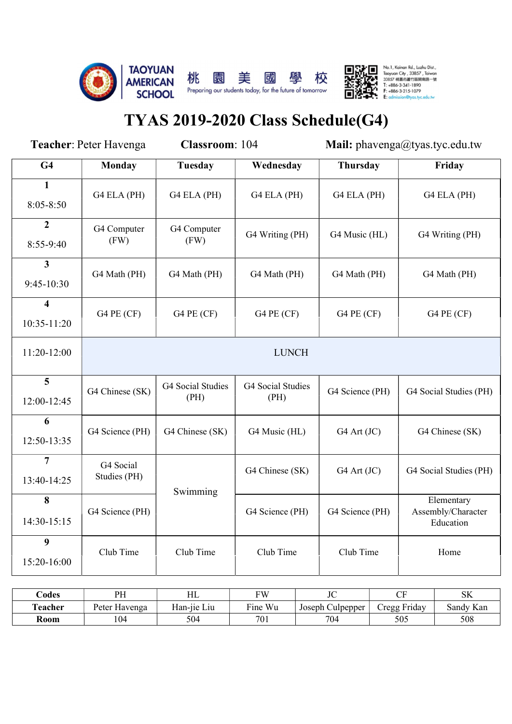



# TYAS 2019-2020 Class Schedule(G4)

| Teacher: Peter Havenga                 |                           | Classroom: 104            |                           | Mail: phavenga@tyas.tyc.edu.tw |                                               |  |  |
|----------------------------------------|---------------------------|---------------------------|---------------------------|--------------------------------|-----------------------------------------------|--|--|
| G4                                     | <b>Monday</b>             | Tuesday                   | Wednesday                 | Thursday                       | Friday                                        |  |  |
| $\mathbf{1}$<br>$8:05 - 8:50$          | G4 ELA (PH)               | G4 ELA (PH)               | G4 ELA (PH)               | G4 ELA (PH)                    | G4 ELA (PH)                                   |  |  |
| $\boldsymbol{2}$<br>8:55-9:40          | G4 Computer<br>(FW)       | G4 Computer<br>(FW)       | G4 Writing (PH)           | G4 Music (HL)                  | G4 Writing (PH)                               |  |  |
| 3 <sup>1</sup><br>$9:45-10:30$         | G4 Math (PH)              | G4 Math (PH)              | G4 Math (PH)              | G4 Math (PH)                   | G4 Math (PH)                                  |  |  |
| $\overline{\mathbf{4}}$<br>10:35-11:20 | G4 PE (CF)                | G4 PE $(CF)$              | G4 PE (CF)                | G4 PE (CF)                     | G4 PE $(CF)$                                  |  |  |
| 11:20-12:00                            |                           | <b>LUNCH</b>              |                           |                                |                                               |  |  |
| $\overline{5}$<br>12:00-12:45          | G4 Chinese (SK)           | G4 Social Studies<br>(PH) | G4 Social Studies<br>(PH) | G4 Science (PH)                | G4 Social Studies (PH)                        |  |  |
| 6<br>12:50-13:35                       | G4 Science (PH)           | G4 Chinese (SK)           | G4 Music (HL)             | G4 Art (JC)                    | G4 Chinese (SK)                               |  |  |
| $\overline{7}$<br>13:40-14:25          | G4 Social<br>Studies (PH) | Swimming                  | G4 Chinese (SK)           | G4 Art (JC)                    | G4 Social Studies (PH)                        |  |  |
| 8<br>14:30-15:15                       | G4 Science (PH)           |                           | G4 Science (PH)           | G4 Science (PH)                | Elementary<br>Assembly/Character<br>Education |  |  |
| 9<br>15:20-16:00                       | Club Time                 | Club Time                 | Club Time                 | Club Time                      | Home                                          |  |  |
|                                        |                           |                           |                           |                                |                                               |  |  |

| bdes ل  | DU<br>.                          | <b>TTI</b><br>11 L                                                    | <b>TIT</b>                                | T<br>JU                           | $\sim$ $\sim$<br>ັ              | ATZ<br>OIY.    |
|---------|----------------------------------|-----------------------------------------------------------------------|-------------------------------------------|-----------------------------------|---------------------------------|----------------|
| Teacher | $\mathbf{r}$<br>Havenga<br>Peter | $\cdot$ .<br>$ -$<br>$\sim$ $\sim$<br>L <sub>1</sub> u<br>$Han-11e$ . | $\overline{\phantom{a}}$<br>Wu<br>$r1$ ne | $\sim$<br>Joseph (<br>Culpepper . | $\mathbf{r}$<br>Cregg<br>Friday | T<br>Sandy Kan |
| Room    | 104                              | 504                                                                   | 701                                       | 704                               | 505                             | 508            |